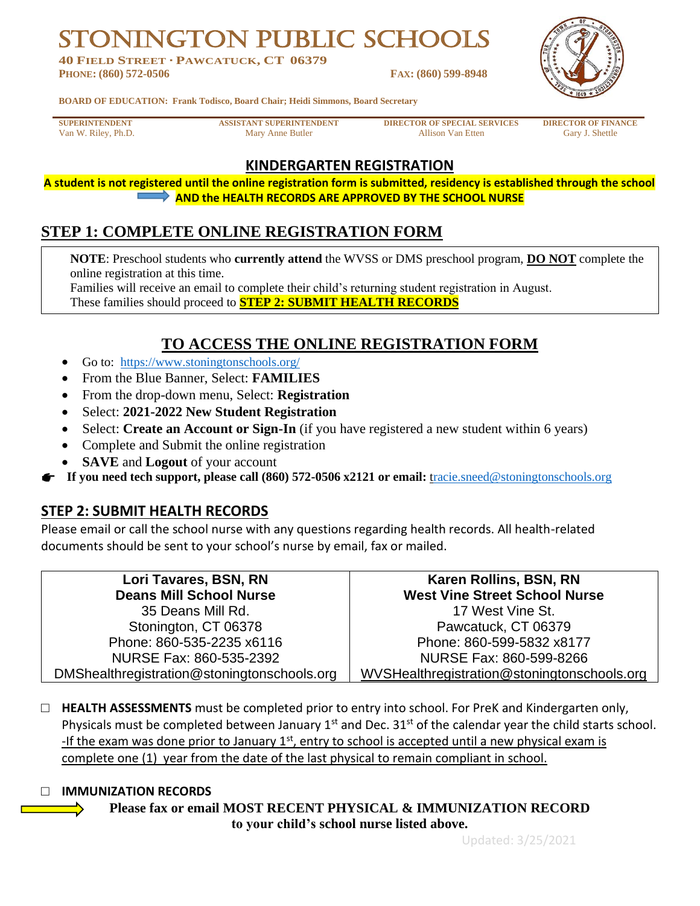**GTON PUBLIC SCHO** 

**40 FIELD STREET · PAWCATUCK, CT 06379 PHONE: (860) 572-0506 FAX: (860) 599-8948**



**BOARD OF EDUCATION: Frank Todisco, Board Chair; Heidi Simmons, Board Secretary**

**SUPERINTENDENT ASSISTANT SUPERINTENDENT DIRECTOR OF SPECIAL SERVICES DIRECTOR OF FINANCE** Van W. Riley, Ph.D. Gary J. Shettle Mary Anne Butler Allison Van Etten Gary J. Shettle

## **KINDERGARTEN REGISTRATION**

**A student is not registered until the online registration form is submitted, residency is established through the school AND the HEALTH RECORDS ARE APPROVED BY THE SCHOOL NURSE**

# **STEP 1: COMPLETE ONLINE REGISTRATION FORM**

**NOTE**: Preschool students who **currently attend** the WVSS or DMS preschool program, **DO NOT** complete the online registration at this time.

Families will receive an email to complete their child's returning student registration in August.

These families should proceed to **STEP 2: SUBMIT HEALTH RECORDS**

## **TO ACCESS THE ONLINE REGISTRATION FORM**

- Go to: <https://www.stoningtonschools.org/>
- From the Blue Banner, Select: **FAMILIES**
- From the drop-down menu, Select: **Registration**
- Select: **2021-2022 New Student Registration**
- Select: **Create an Account or Sign-In** (if you have registered a new student within 6 years)
- Complete and Submit the online registration
- **SAVE** and **Logout** of your account

**If you need tech support, please call (860) 572-0506 x2121 or email:** [tracie.sneed@stoningtonschools.org](mailto:racie.sneed@stoningtonschools.org)

## **STEP 2: SUBMIT HEALTH RECORDS**

Please email or call the school nurse with any questions regarding health records. All health-related documents should be sent to your school's nurse by email, fax or mailed.

| Lori Tavares, BSN, RN                       | Karen Rollins, BSN, RN                      |
|---------------------------------------------|---------------------------------------------|
| <b>Deans Mill School Nurse</b>              | <b>West Vine Street School Nurse</b>        |
| 35 Deans Mill Rd.                           | 17 West Vine St.                            |
| Stonington, CT 06378                        | Pawcatuck, CT 06379                         |
| Phone: 860-535-2235 x6116                   | Phone: 860-599-5832 x8177                   |
| NURSE Fax: 860-535-2392                     | NURSE Fax: 860-599-8266                     |
| DMShealthregistration@stoningtonschools.org | WVSHealthregistration@stoningtonschools.org |

□ **HEALTH ASSESSMENTS** must be completed prior to entry into school. For PreK and Kindergarten only, Physicals must be completed between January  $1<sup>st</sup>$  and Dec. 31 $<sup>st</sup>$  of the calendar year the child starts school.</sup> -If the exam was done prior to January  $1<sup>st</sup>$ , entry to school is accepted until a new physical exam is complete one (1) year from the date of the last physical to remain compliant in school.

#### □ **IMMUNIZATION RECORDS**

**Please fax or email MOST RECENT PHYSICAL & IMMUNIZATION RECORD to your child's school nurse listed above.**